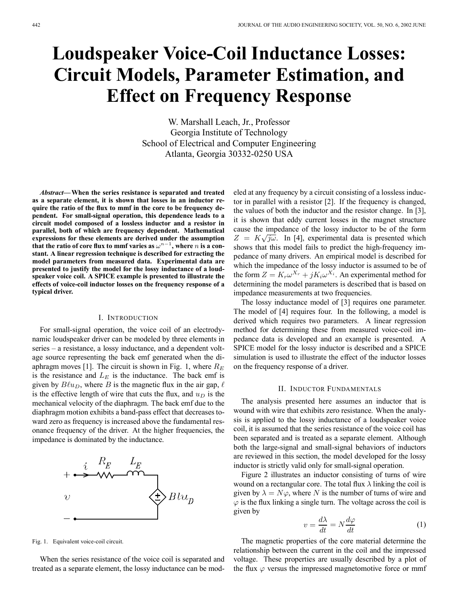# **Loudspeaker Voice-Coil Inductance Losses: Circuit Models, Parameter Estimation, and Effect on Frequency Response**

W. Marshall Leach, Jr., Professor Georgia Institute of Technology School of Electrical and Computer Engineering Atlanta, Georgia 30332-0250 USA

*Abstract***—When the series resistance is separated and treated as a separate element, it is shown that losses in an inductor require the ratio of the flux to mmf in the core to be frequency dependent. For small-signal operation, this dependence leads to a circuit model composed of a lossless inductor and a resistor in parallel, both of which are frequency dependent. Mathematical expressions for these elements are derived under the assumption that the ratio of core flux to mmf varies as**  $\omega^{n-1}$ **, where** *n* **is a constant. A linear regression technique is described for extracting the model parameters from measured data. Experimental data are presented to justify the model for the lossy inductance of a loudspeaker voice coil. A SPICE example is presented to illustrate the effects of voice-coil inductor losses on the frequency response of a typical driver.**

# I. INTRODUCTION

For small-signal operation, the voice coil of an electrodynamic loudspeaker driver can be modeled by three elements in series – a resistance, a lossy inductance, and a dependent voltage source representing the back emf generated when the diaphragm moves [1]. The circuit is shown in Fig. 1, where  $R_E$ is the resistance and  $L<sub>E</sub>$  is the inductance. The back emf is given by  $B\ell u_D$ , where B is the magnetic flux in the air gap,  $\ell$ is the effective length of wire that cuts the flux, and  $u_D$  is the mechanical velocity of the diaphragm. The back emf due to the diaphragm motion exhibits a band-pass effect that decreases toward zero as frequency is increased above the fundamental resonance frequency of the driver. At the higher frequencies, the impedance is dominated by the inductance.



Fig. 1. Equivalent voice-coil circuit.

When the series resistance of the voice coil is separated and treated as a separate element, the lossy inductance can be modeled at any frequency by a circuit consisting of a lossless inductor in parallel with a resistor [2]. If the frequency is changed, the values of both the inductor and the resistor change. In [3], it is shown that eddy current losses in the magnet structure cause the impedance of the lossy inductor to be of the form  $Z = K\sqrt{j\omega}$ . In [4], experimental data is presented which shows that this model fails to predict the high-frequency impedance of many drivers. An empirical model is described for which the impedance of the lossy inductor is assumed to be of the form  $Z = K_r \omega^{X_r} + j K_i \omega^{X_i}$ . An experimental method for determining the model parameters is described that is based on impedance measurements at two frequencies.

The lossy inductance model of [3] requires one parameter. The model of [4] requires four. In the following, a model is derived which requires two parameters. A linear regression method for determining these from measured voice-coil impedance data is developed and an example is presented. A SPICE model for the lossy inductor is described and a SPICE simulation is used to illustrate the effect of the inductor losses on the frequency response of a driver.

### II. INDUCTOR FUNDAMENTALS

The analysis presented here assumes an inductor that is wound with wire that exhibits zero resistance. When the analysis is applied to the lossy inductance of a loudspeaker voice coil, it is assumed that the series resistance of the voice coil has been separated and is treated as a separate element. Although both the large-signal and small-signal behaviors of inductors are reviewed in this section, the model developed for the lossy inductor is strictly valid only for small-signal operation.

Figure 2 illustrates an inductor consisting of turns of wire wound on a rectangular core. The total flux  $\lambda$  linking the coil is given by  $\lambda = N\varphi$ , where N is the number of turns of wire and  $\varphi$  is the flux linking a single turn. The voltage across the coil is given by

$$
v = \frac{d\lambda}{dt} = N\frac{d\varphi}{dt} \tag{1}
$$

The magnetic properties of the core material determine the relationship between the current in the coil and the impressed voltage. These properties are usually described by a plot of the flux  $\varphi$  versus the impressed magnetomotive force or mmf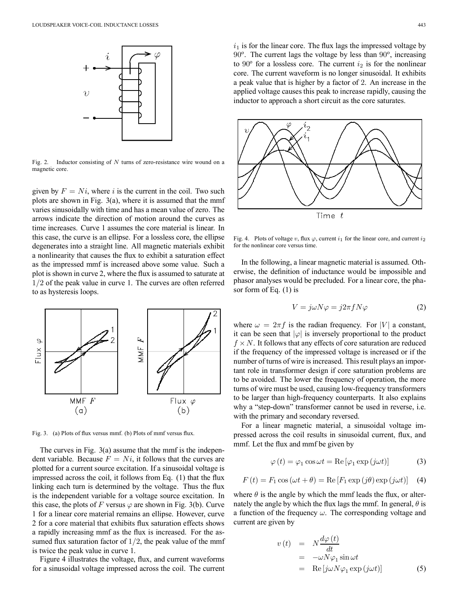

Fig. 2. Inductor consisting of N turns of zero-resistance wire wound on a magnetic core.

given by  $F = Ni$ , where i is the current in the coil. Two such plots are shown in Fig.  $3(a)$ , where it is assumed that the mmf varies sinusoidally with time and has a mean value of zero. The arrows indicate the direction of motion around the curves as time increases. Curve 1 assumes the core material is linear. In this case, the curve is an ellipse. For a lossless core, the ellipse degenerates into a straight line. All magnetic materials exhibit a nonlinearity that causes the flux to exhibit a saturation effect as the impressed mmf is increased above some value. Such a plot is shown in curve 2, where the flux is assumed to saturate at 1/2 of the peak value in curve 1. The curves are often referred to as hysteresis loops.



Fig. 3. (a) Plots of flux versus mmf. (b) Plots of mmf versus flux.

The curves in Fig. 3(a) assume that the mmf is the independent variable. Because  $F = Ni$ , it follows that the curves are plotted for a current source excitation. If a sinusoidal voltage is impressed across the coil, it follows from Eq. (1) that the flux linking each turn is determined by the voltage. Thus the flux is the independent variable for a voltage source excitation. In this case, the plots of F versus  $\varphi$  are shown in Fig. 3(b). Curve 1 for a linear core material remains an ellipse. However, curve 2 for a core material that exhibits flux saturation effects shows a rapidly increasing mmf as the flux is increased. For the assumed flux saturation factor of  $1/2$ , the peak value of the mmf is twice the peak value in curve 1.

Figure 4 illustrates the voltage, flux, and current waveforms for a sinusoidal voltage impressed across the coil. The current  $i_1$  is for the linear core. The flux lags the impressed voltage by  $90^\circ$ . The current lags the voltage by less than  $90^\circ$ , increasing to  $90^{\circ}$  for a lossless core. The current  $i_2$  is for the nonlinear core. The current waveform is no longer sinusoidal. It exhibits a peak value that is higher by a factor of 2. An increase in the applied voltage causes this peak to increase rapidly, causing the inductor to approach a short circuit as the core saturates.



Fig. 4. Plots of voltage v, flux  $\varphi$ , current  $i_1$  for the linear core, and current  $i_2$ for the nonlinear core versus time.

In the following, a linear magnetic material is assumed. Otherwise, the definition of inductance would be impossible and phasor analyses would be precluded. For a linear core, the phasor form of Eq. (1) is

$$
V = j\omega N\varphi = j2\pi fN\varphi \tag{2}
$$

where  $\omega = 2\pi f$  is the radian frequency. For |V| a constant, it can be seen that  $|\varphi|$  is inversely proportional to the product  $f \times N$ . It follows that any effects of core saturation are reduced if the frequency of the impressed voltage is increased or if the number of turns of wire is increased. This result plays an important role in transformer design if core saturation problems are to be avoided. The lower the frequency of operation, the more turns of wire must be used, causing low-frequency transformers to be larger than high-frequency counterparts. It also explains why a "step-down" transformer cannot be used in reverse, i.e. with the primary and secondary reversed.

For a linear magnetic material, a sinusoidal voltage impressed across the coil results in sinusoidal current, flux, and mmf. Let the flux and mmf be given by

$$
\varphi(t) = \varphi_1 \cos \omega t = \text{Re} \left[ \varphi_1 \exp(j\omega t) \right] \tag{3}
$$

$$
F(t) = F_1 \cos(\omega t + \theta) = \text{Re}[F_1 \exp(j\theta) \exp(j\omega t)] \quad (4)
$$

where  $\theta$  is the angle by which the mmf leads the flux, or alternately the angle by which the flux lags the mmf. In general,  $\theta$  is a function of the frequency  $\omega$ . The corresponding voltage and current are given by

$$
v(t) = N \frac{d\varphi(t)}{dt}
$$
  
=  $-\omega N \varphi_1 \sin \omega t$   
= Re [j\omega N \varphi\_1 exp (j\omega t)] (5)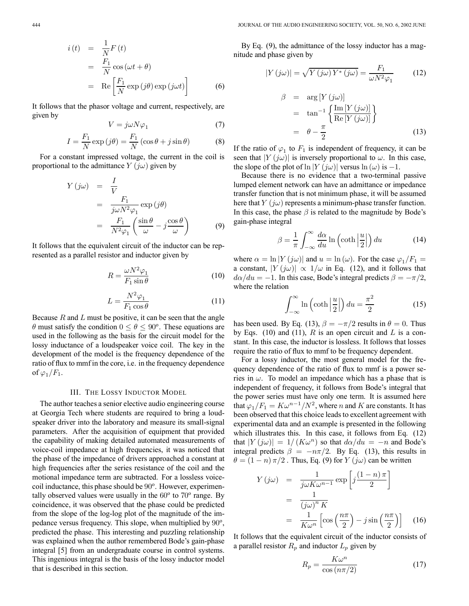$$
i(t) = \frac{1}{N} F(t)
$$
  
=  $\frac{F_1}{N} \cos(\omega t + \theta)$   
=  $\text{Re}\left[\frac{F_1}{N} \exp(j\theta) \exp(j\omega t)\right]$  (6)

It follows that the phasor voltage and current, respectively, are given by

$$
V = j\omega N\varphi_1 \tag{7}
$$

$$
I = \frac{F_1}{N} \exp\left(j\theta\right) = \frac{F_1}{N} \left(\cos\theta + j\sin\theta\right) \tag{8}
$$

For a constant impressed voltage, the current in the coil is proportional to the admittance  $Y(i\omega)$  given by

$$
Y(j\omega) = \frac{I}{V}
$$
  
= 
$$
\frac{F_1}{j\omega N^2 \varphi_1} \exp(j\theta)
$$
  
= 
$$
\frac{F_1}{N^2 \varphi_1} \left(\frac{\sin \theta}{\omega} - j \frac{\cos \theta}{\omega}\right)
$$
 (9)

It follows that the equivalent circuit of the inductor can be represented as a parallel resistor and inductor given by

$$
R = \frac{\omega N^2 \varphi_1}{F_1 \sin \theta} \tag{10}
$$

$$
L = \frac{N^2 \varphi_1}{F_1 \cos \theta} \tag{11}
$$

Because  $R$  and  $L$  must be positive, it can be seen that the angle  $\theta$  must satisfy the condition  $0 \le \theta \le 90^{\circ}$ . These equations are used in the following as the basis for the circuit model for the lossy inductance of a loudspeaker voice coil. The key in the development of the model is the frequency dependence of the ratio of flux to mmf in the core, i.e. in the frequency dependence of  $\varphi_1/F_1$ .

# III. THE LOSSY INDUCTOR MODEL

The author teaches a senior elective audio engineering course at Georgia Tech where students are required to bring a loudspeaker driver into the laboratory and measure its small-signal parameters. After the acquisition of equipment that provided the capability of making detailed automated measurements of voice-coil impedance at high frequencies, it was noticed that the phase of the impedance of drivers approached a constant at high frequencies after the series resistance of the coil and the motional impedance term are subtracted. For a lossless voicecoil inductance, this phase should be  $90^\circ$ . However, experimentally observed values were usually in the  $60^{\circ}$  to  $70^{\circ}$  range. By coincidence, it was observed that the phase could be predicted from the slope of the log-log plot of the magnitude of the impedance versus frequency. This slope, when multiplied by  $90^{\circ}$ , predicted the phase. This interesting and puzzling relationship was explained when the author remembered Bode's gain-phase integral [5] from an undergraduate course in control systems. This ingenious integral is the basis of the lossy inductor model that is described in this section.

By Eq. (9), the admittance of the lossy inductor has a magnitude and phase given by

$$
|Y(j\omega)| = \sqrt{Y(j\omega)Y^*(j\omega)} = \frac{F_1}{\omega N^2 \varphi_1} \tag{12}
$$

$$
\beta = \arg [Y (j\omega)]
$$
  
=  $\tan^{-1} \left\{ \frac{\text{Im} [Y (j\omega)]}{\text{Re} [Y (j\omega)]} \right\}$   
=  $\theta - \frac{\pi}{2}$  (13)

If the ratio of  $\varphi_1$  to  $F_1$  is independent of frequency, it can be seen that  $|Y(j\omega)|$  is inversely proportional to  $\omega$ . In this case, the slope of the plot of ln |Y (j $\omega$ )| versus ln ( $\omega$ ) is -1.

Because there is no evidence that a two-terminal passive lumped element network can have an admittance or impedance transfer function that is not minimum phase, it will be assumed here that  $Y(j\omega)$  represents a minimum-phase transfer function. In this case, the phase  $\beta$  is related to the magnitude by Bode's gain-phase integral

$$
\beta = \frac{1}{\pi} \int_{-\infty}^{\infty} \frac{d\alpha}{du} \ln\left(\coth\left|\frac{u}{2}\right|\right) du \tag{14}
$$

where  $\alpha = \ln |Y(j\omega)|$  and  $u = \ln (\omega)$ . For the case  $\varphi_1/F_1 =$ a constant,  $|Y(j\omega)| \propto 1/\omega$  in Eq. (12), and it follows that  $d\alpha/du = -1$ . In this case, Bode's integral predicts  $\beta = -\pi/2$ , where the relation

$$
\int_{-\infty}^{\infty} \ln\left(\coth\left|\frac{u}{2}\right|\right) du = \frac{\pi^2}{2} \tag{15}
$$

has been used. By Eq. (13),  $\beta = -\pi/2$  results in  $\theta = 0$ . Thus by Eqs. (10) and (11),  $R$  is an open circuit and  $L$  is a constant. In this case, the inductor is lossless. It follows that losses require the ratio of flux to mmf to be frequency dependent.

For a lossy inductor, the most general model for the frequency dependence of the ratio of flux to mmf is a power series in  $\omega$ . To model an impedance which has a phase that is independent of frequency, it follows from Bode's integral that the power series must have only one term. It is assumed here that  $\varphi_1/F_1 = K\omega^{n-1}/N^2$ , where *n* and *K* are constants. It has been observed that this choice leads to excellent agreement with experimental data and an example is presented in the following which illustrates this. In this case, it follows from Eq. (12) that  $|Y(j\omega)| = 1/(K\omega^n)$  so that  $d\alpha/du = -n$  and Bode's integral predicts  $\beta = -n\pi/2$ . By Eq. (13), this results in  $\theta = (1 - n) \pi/2$ . Thus, Eq. (9) for Y (jw) can be written

$$
Y(j\omega) = \frac{1}{j\omega K \omega^{n-1}} \exp\left[j\frac{(1-n)\pi}{2}\right]
$$

$$
= \frac{1}{(j\omega)^n K}
$$

$$
= \frac{1}{K\omega^n} \left[\cos\left(\frac{n\pi}{2}\right) - j\sin\left(\frac{n\pi}{2}\right)\right] \quad (16)
$$

It follows that the equivalent circuit of the inductor consists of a parallel resistor  $R_p$  and inductor  $L_p$  given by

$$
R_p = \frac{K\omega^n}{\cos\left(n\pi/2\right)}\tag{17}
$$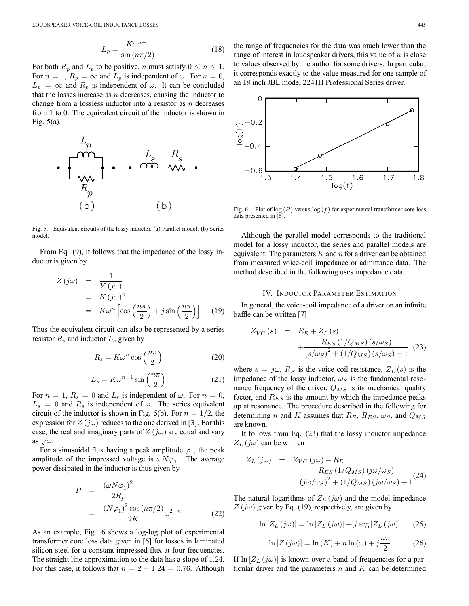$$
L_p = \frac{K\omega^{n-1}}{\sin\left(\frac{n\pi}{2}\right)}\tag{18}
$$

For both  $R_p$  and  $L_p$  to be positive, n must satisfy  $0 \le n \le 1$ . For  $n = 1$ ,  $R_p = \infty$  and  $L_p$  is independent of  $\omega$ . For  $n = 0$ ,  $L_p = \infty$  and  $R_p$  is independent of  $\omega$ . It can be concluded that the losses increase as  $n$  decreases, causing the inductor to change from a lossless inductor into a resistor as  $n$  decreases from 1 to 0. The equivalent circuit of the inductor is shown in Fig. 5(a).



Fig. 5. Equivalent circuits of the lossy inductor. (a) Parallel model. (b) Series model.

From Eq. (9), it follows that the impedance of the lossy inductor is given by

$$
Z(j\omega) = \frac{1}{Y(j\omega)}
$$
  
=  $K(j\omega)^n$   
=  $K\omega^n \left[\cos\left(\frac{n\pi}{2}\right) + j\sin\left(\frac{n\pi}{2}\right)\right]$  (19)

Thus the equivalent circuit can also be represented by a series resistor  $R_s$  and inductor  $L_s$  given by

$$
R_s = K\omega^n \cos\left(\frac{n\pi}{2}\right) \tag{20}
$$

$$
L_s = K\omega^{n-1} \sin\left(\frac{n\pi}{2}\right) \tag{21}
$$

For  $n = 1$ ,  $R_s = 0$  and  $L_s$  is independent of  $\omega$ . For  $n = 0$ ,  $L_s = 0$  and  $R_s$  is independent of  $\omega$ . The series equivalent circuit of the inductor is shown in Fig. 5(b). For  $n = 1/2$ , the expression for  $Z(j\omega)$  reduces to the one derived in [3]. For this case, the real and imaginary parts of  $Z(i\omega)$  are equal and vary as  $\sqrt{\omega}$ .

For a sinusoidal flux having a peak amplitude  $\varphi_1$ , the peak amplitude of the impressed voltage is  $\omega N \varphi_1$ . The average power dissipated in the inductor is thus given by

$$
P = \frac{(\omega N \varphi_1)^2}{2R_p}
$$
  
= 
$$
\frac{(N\varphi_1)^2 \cos(n\pi/2)}{2K} \omega^{2-n}
$$
 (22)

As an example, Fig. 6 shows a log-log plot of experimental transformer core loss data given in [6] for losses in laminated silicon steel for a constant impressed flux at four frequencies. The straight line approximation to the data has a slope of 1.24. For this case, it follows that  $n = 2 - 1.24 = 0.76$ . Although the range of frequencies for the data was much lower than the range of interest in loudspeaker drivers, this value of  $n$  is close to values observed by the author for some drivers. In particular, it corresponds exactly to the value measured for one sample of an 18 inch JBL model 2241H Professional Series driver.



Fig. 6. Plot of  $log(P)$  versus  $log(f)$  for experimental transformer core loss data presented in [6].

Although the parallel model corresponds to the traditional model for a lossy inductor, the series and parallel models are equivalent. The parameters  $K$  and  $n$  for a driver can be obtained from measured voice-coil impedance or admittance data. The method described in the following uses impedance data.

#### IV. INDUCTOR PARAMETER ESTIMATION

In general, the voice-coil impedance of a driver on an infinite baffle can be written [7]

$$
Z_{VC}(s) = R_E + Z_L(s) + \frac{R_{ES} (1/Q_{MS}) (s/\omega_S)}{(s/\omega_S)^2 + (1/Q_{MS}) (s/\omega_S) + 1}
$$
(23)

where  $s = j\omega$ ,  $R_E$  is the voice-coil resistance,  $Z_L(s)$  is the impedance of the lossy inductor,  $\omega_S$  is the fundamental resonance frequency of the driver,  $Q_{MS}$  is its mechanical quality factor, and  $R_{ES}$  is the amount by which the impedance peaks up at resonance. The procedure described in the following for determining n and K assumes that  $R_E$ ,  $R_{ES}$ ,  $\omega_S$ , and  $Q_{MS}$ are known.

It follows from Eq. (23) that the lossy inductor impedance  $Z_L$  ( $j\omega$ ) can be written

$$
Z_L(j\omega) = Z_{VC}(j\omega) - R_E
$$

$$
- \frac{R_{ES} (1/Q_{MS}) (j\omega/\omega_S)}{(j\omega/\omega_S)^2 + (1/Q_{MS}) (j\omega/\omega_S) + 1}
$$
(24)

The natural logarithms of  $Z_L$  (j $\omega$ ) and the model impedance  $Z(j\omega)$  given by Eq. (19), respectively, are given by

$$
\ln\left[Z_L\left(j\omega\right)\right] = \ln\left|Z_L\left(j\omega\right)\right| + j\arg\left[Z_L\left(j\omega\right)\right] \tag{25}
$$

$$
\ln\left[Z\left(j\omega\right)\right] = \ln\left(K\right) + n\ln\left(\omega\right) + j\frac{n\pi}{2} \tag{26}
$$

If  $\ln[Z_L(j\omega)]$  is known over a band of frequencies for a particular driver and the parameters  $n$  and  $K$  can be determined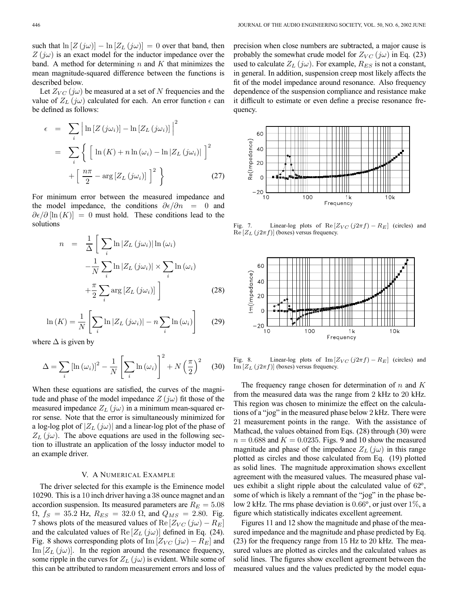Let  $Z_{VC}$  (jω) be measured at a set of N frequencies and the value of  $Z_L(j\omega)$  calculated for each. An error function  $\epsilon$  can be defined as follows:

$$
\epsilon = \sum_{i} \left| \ln \left[ Z \left( j \omega_{i} \right) \right] - \ln \left[ Z_{L} \left( j \omega_{i} \right) \right] \right|^{2}
$$
\n
$$
= \sum_{i} \left\{ \left[ \ln \left( K \right) + n \ln \left( \omega_{i} \right) - \ln \left| Z_{L} \left( j \omega_{i} \right) \right| \right]^{2} + \left[ \frac{n \pi}{2} - \arg \left[ Z_{L} \left( j \omega_{i} \right) \right] \right]^{2} \right\} \tag{27}
$$

For minimum error between the measured impedance and the model impedance, the conditions  $\partial \epsilon / \partial n = 0$  and  $\partial \epsilon/\partial \ln(K)$  = 0 must hold. These conditions lead to the solutions

$$
n = \frac{1}{\Delta} \left[ \sum_{i} \ln |Z_L(j\omega_i)| \ln (\omega_i) - \frac{1}{N} \sum_{i} \ln |Z_L(j\omega_i)| \times \sum_{i} \ln (\omega_i) + \frac{\pi}{2} \sum_{i} \arg [Z_L(j\omega_i)] \right]
$$
(28)

$$
\ln(K) = \frac{1}{N} \left[ \sum_{i} \ln |Z_L(j\omega_i)| - n \sum_{i} \ln(\omega_i) \right]
$$
 (29)

where  $\Delta$  is given by

$$
\Delta = \sum_{i} \left[ \ln \left( \omega_{i} \right) \right]^{2} - \frac{1}{N} \left[ \sum_{i} \ln \left( \omega_{i} \right) \right]^{2} + N \left( \frac{\pi}{2} \right)^{2} \quad (30)
$$

When these equations are satisfied, the curves of the magnitude and phase of the model impedance  $Z(j\omega)$  fit those of the measured impedance  $Z_L$  (jw) in a minimum mean-squared error sense. Note that the error is simultaneously minimized for a log-log plot of  $|Z_L(j\omega)|$  and a linear-log plot of the phase of  $Z_L$  (jω). The above equations are used in the following section to illustrate an application of the lossy inductor model to an example driver.

# V. A NUMERICAL EXAMPLE

The driver selected for this example is the Eminence model 10290. This is a 10 inch driver having a 38 ounce magnet and an accordion suspension. Its measured parameters are  $R_E = 5.08$  $\Omega$ ,  $f_S = 35.2$  Hz,  $R_{ES} = 32.0 \Omega$ , and  $Q_{MS} = 2.80$ . Fig. 7 shows plots of the measured values of Re  $[Z_{VC}(j\omega) - R_E]$ and the calculated values of Re  $[Z_L(j\omega)]$  defined in Eq. (24). Fig. 8 shows corresponding plots of Im  $[Z_{VC} (j\omega) - R_E]$  and Im  $[Z_L(j\omega)]$ . In the region around the resonance frequency, some ripple in the curves for  $Z_L(j\omega)$  is evident. While some of this can be attributed to random measurement errors and loss of precision when close numbers are subtracted, a major cause is probably the somewhat crude model for  $Z_{VC}$  (jw) in Eq. (23) used to calculate  $Z_L(j\omega)$ . For example,  $R_{ES}$  is not a constant, in general. In addition, suspension creep most likely affects the fit of the model impedance around resonance. Also frequency dependence of the suspension compliance and resistance make it difficult to estimate or even define a precise resonance frequency.



Fig. 7. Linear-log plots of Re  $[Z_{VC} (j2\pi f) - R_E]$  (circles) and  $\text{Re}\left[Z_L\left(j2\pi f\right)\right]$  (boxes) versus frequency.



Fig. 8. Linear-log plots of Im  $[Z_{VC} (j2\pi f) - R_E]$  (circles) and  $Im[Z_L(j2\pi f)]$  (boxes) versus frequency.

The frequency range chosen for determination of n and K from the measured data was the range from 2 kHz to 20 kHz. This region was chosen to minimize the effect on the calculations of a "jog" in the measured phase below 2 kHz. There were 21 measurement points in the range. With the assistance of Mathcad, the values obtained from Eqs. (28) through (30) were  $n = 0.688$  and  $K = 0.0235$ . Figs. 9 and 10 show the measured magnitude and phase of the impedance  $Z_L(j\omega)$  in this range plotted as circles and those calculated from Eq. (19) plotted as solid lines. The magnitude approximation shows excellent agreement with the measured values. The measured phase values exhibit a slight ripple about the calculated value of  $62^\circ$ , some of which is likely a remnant of the "jog" in the phase below 2 kHz. The rms phase deviation is  $0.66^{\circ}$ , or just over  $1\%$ , a figure which statistically indicates excellent agreement.

Figures 11 and 12 show the magnitude and phase of the measured impedance and the magnitude and phase predicted by Eq. (23) for the frequency range from 15 Hz to 20 kHz. The measured values are plotted as circles and the calculated values as solid lines. The figures show excellent agreement between the measured values and the values predicted by the model equa-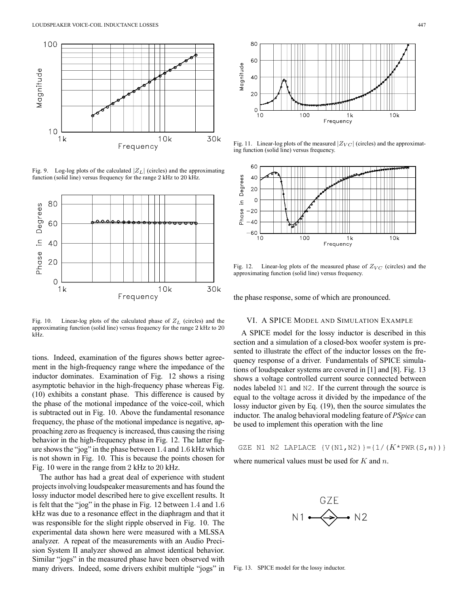

Fig. 9. Log-log plots of the calculated  $|Z_L|$  (circles) and the approximating function (solid line) versus frequency for the range 2 kHz to 20 kHz.



Fig. 10. Linear-log plots of the calculated phase of  $Z_L$  (circles) and the approximating function (solid line) versus frequency for the range 2 kHz to 20 kHz.

tions. Indeed, examination of the figures shows better agreement in the high-frequency range where the impedance of the inductor dominates. Examination of Fig. 12 shows a rising asymptotic behavior in the high-frequency phase whereas Fig. (10) exhibits a constant phase. This difference is caused by the phase of the motional impedance of the voice-coil, which is subtracted out in Fig. 10. Above the fundamental resonance frequency, the phase of the motional impedance is negative, approaching zero as frequency is increased, thus causing the rising behavior in the high-frequency phase in Fig. 12. The latter figure shows the "jog" in the phase between 1.4 and 1.6 kHz which is not shown in Fig. 10. This is because the points chosen for Fig. 10 were in the range from 2 kHz to 20 kHz.

The author has had a great deal of experience with student projects involving loudspeaker measurements and has found the lossy inductor model described here to give excellent results. It is felt that the "jog" in the phase in Fig. 12 between 1.4 and 1.6 kHz was due to a resonance effect in the diaphragm and that it was responsible for the slight ripple observed in Fig. 10. The experimental data shown here were measured with a MLSSA analyzer. A repeat of the measurements with an Audio Precision System II analyzer showed an almost identical behavior. Similar "jogs" in the measured phase have been observed with many drivers. Indeed, some drivers exhibit multiple "jogs" in



Fig. 11. Linear-log plots of the measured  $|Z_{VC}|$  (circles) and the approximating function (solid line) versus frequency.



Fig. 12. Linear-log plots of the measured phase of  $Z_{VC}$  (circles) and the approximating function (solid line) versus frequency.

the phase response, some of which are pronounced.

### VI. A SPICE MODEL AND SIMULAT ION EXAMPLE

A SPICE model for the lossy inductor is described in this section and a simulation of a closed-box woofer system is presented to illustrate the effect of the inductor losses on the frequency response of a driver. Fundamentals of SPICE simulations of loudspeaker systems are covered in [1] and [8]. Fig. 13 shows a voltage controlled current source connected between nodes labeled N1 and N2. If the current through the source is equal to the voltage across it divided by the impedance of the lossy inductor given by Eq. (19), then the source simulates the inductor. The analog behavioral modeling feature of *PSpice* can be used to implement this operation with the line

GZE N1 N2 LAPLACE  $\{V(N1,N2)\}=\{1/(K*PWR(S,n))\}$ where numerical values must be used for  $K$  and  $n$ .



Fig. 13. SPICE model for the lossy inductor.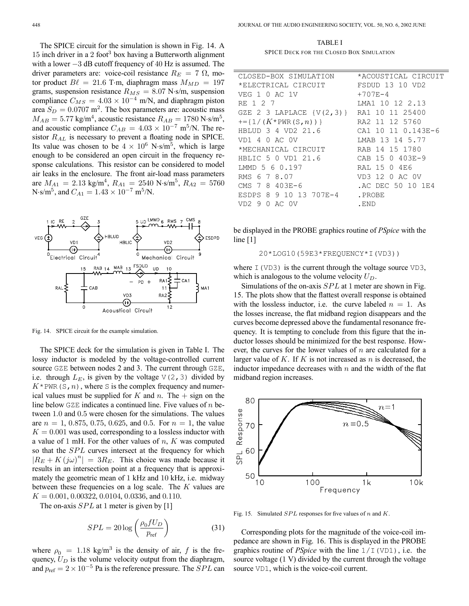The SPICE circuit for the simulation is shown in Fig. 14. A 15 inch driver in a 2 foot<sup>3</sup> box having a Butterworth alignment with a lower −3 dB cutoff frequency of 40 Hz is assumed. The driver parameters are: voice-coil resistance  $R_E = 7 \Omega$ , motor product  $B\ell = 21.6$  T·m, diaphragm mass  $M_{MD} = 197$ grams, suspension resistance  $R_{MS} = 8.07$  N·s/m, suspension compliance  $C_{MS} = 4.03 \times 10^{-4}$  m/N, and diaphragm piston area  $S_D = 0.0707$  m<sup>2</sup>. The box parameters are: acoustic mass  $M_{AB} = 5.77$  kg/m<sup>4</sup>, acoustic resistance  $R_{AB} = 1780$  N·s/m<sup>5</sup>, and acoustic compliance  $C_{AB} = 4.03 \times 10^{-7}$  m<sup>5</sup>/N. The resistor  $R_{AL}$  is necessary to prevent a floating node in SPICE. Its value was chosen to be  $4 \times 10^6$  N·s/m<sup>5</sup>, which is large enough to be considered an open circuit in the frequency response calculations. This resistor can be considered to model air leaks in the enclosure. The front air-load mass parameters are  $M_{A1} = 2.13$  kg/m<sup>4</sup>,  $R_{A1} = 2540$  N·s/m<sup>5</sup>,  $R_{A2} = 5760$ N·s/m<sup>5</sup>, and  $C_{A1} = 1.43 \times 10^{-7}$  m<sup>5</sup>/N.



Fig. 14. SPICE circuit for the example simulation.

The SPICE deck for the simulation is given in Table I. The lossy inductor is modeled by the voltage-controlled current source GZE between nodes 2 and 3. The current through GZE, i.e. through  $L_E$ , is given by the voltage  $\nabla(2,3)$  divided by  $K^*$ PWR(S, n), where S is the complex frequency and numerical values must be supplied for K and n. The  $+$  sign on the line below  $GZE$  indicates a continued line. Five values of n between 1.0 and 0.5 were chosen for the simulations. The values are  $n = 1, 0.875, 0.75, 0.625,$  and 0.5. For  $n = 1$ , the value  $K = 0.001$  was used, corresponding to a lossless inductor with a value of 1 mH. For the other values of  $n, K$  was computed so that the SPL curves intersect at the frequency for which  $|R_E + K (j\omega)^n| = 3R_E$ . This choice was made because it results in an intersection point at a frequency that is approximately the geometric mean of 1 kHz and 10 kHz, i.e. midway between these frequencies on a log scale. The K values are  $K = 0.001, 0.00322, 0.0104, 0.0336,$  and 0.110.

The on-axis  $SPL$  at 1 meter is given by [1]

$$
SPL = 20 \log \left( \frac{\rho_0 f U_D}{p_{\text{ref}}} \right) \tag{31}
$$

where  $\rho_0 = 1.18 \text{ kg/m}^3$  is the density of air, f is the frequency,  $U_D$  is the volume velocity output from the diaphragm, and  $p_{ref} = 2 \times 10^{-5}$  Pa is the reference pressure. The *SPL* can

TABLE I SPICE DECK FOR THE CLOSED BOX SIMULATION

| CLOSED-BOX SIMULATION                    | *ACOUSTICAL CIRCUIT    |
|------------------------------------------|------------------------|
| *ELECTRICAL CIRCUIT                      | <b>FSDUD 13 10 VD2</b> |
| VEG 1 0 AC 1V                            | $+707E-4$              |
| RE 1 2 7                                 | LMA1 10 12 2.13        |
| GZE 2 3 LAPLACE {V(2,3)} RA1 10 11 25400 |                        |
| $+=$ {1/( $K^*$ PWR(S,n))}               | RA2 11 12 5760         |
| HBLUD 3 4 VD2 21.6                       | CA1 10 11 0.143E-6     |
| VD1 4 0 AC 0V                            | LMAB 13 14 5.77        |
| *MECHANICAL CIRCUIT                      | RAB 14 15 1780         |
| HBLIC 5 0 VD1 21.6                       | CAB 15 0 403E-9        |
| LMMD 5 6 0.197                           | RAL 15 0 4E6           |
| RMS 6 7 8.07                             | VD3 12 0 AC 0V         |
| CMS 7 8 403E-6                           | .AC DEC 50 10 1E4      |
| ESDPS 8 9 10 13 707E-4                   | . PROBE                |
| 0 AC 0V<br>VD29                          | . END                  |
|                                          |                        |

be displayed in the PROBE graphics routine of *PSpice* with the line  $[1]$ 

20\*LOG10(59E3\*FREQUENCY\*I(VD3))

where  $I(VD3)$  is the current through the voltage source  $VD3$ , which is analogous to the volume velocity  $U_D$ .

Simulations of the on-axis SPL at 1 meter are shown in Fig. 15. The plots show that the flattest overall response is obtained with the lossless inductor, i.e. the curve labeled  $n = 1$ . As the losses increase, the flat midband region disappears and the curves become depressed above the fundamental resonance frequency. It is tempting to conclude from this figure that the inductor losses should be minimized for the best response. However, the curves for the lower values of  $n$  are calculated for a larger value of K. If K is not increased as  $n$  is decreased, the inductor impedance decreases with  $n$  and the width of the flat midband region increases.



Fig. 15. Simulated  $SPL$  responses for five values of n and K.

Corresponding plots for the magnitude of the voice-coil impedance are shown in Fig. 16. This is displayed in the PROBE graphics routine of *PSpice* with the line 1/I(VD1), i.e. the source voltage (1 V) divided by the current through the voltage source VD1, which is the voice-coil current.